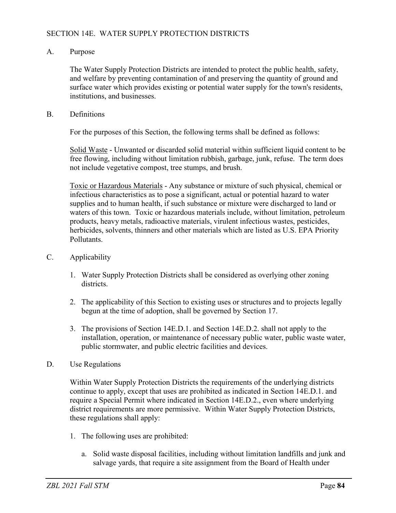## SECTION 14E. WATER SUPPLY PROTECTION DISTRICTS

## A. Purpose

The Water Supply Protection Districts are intended to protect the public health, safety, and welfare by preventing contamination of and preserving the quantity of ground and surface water which provides existing or potential water supply for the town's residents, institutions, and businesses.

B. Definitions

For the purposes of this Section, the following terms shall be defined as follows:

Solid Waste - Unwanted or discarded solid material within sufficient liquid content to be free flowing, including without limitation rubbish, garbage, junk, refuse. The term does not include vegetative compost, tree stumps, and brush.

Toxic or Hazardous Materials - Any substance or mixture of such physical, chemical or infectious characteristics as to pose a significant, actual or potential hazard to water supplies and to human health, if such substance or mixture were discharged to land or waters of this town. Toxic or hazardous materials include, without limitation, petroleum products, heavy metals, radioactive materials, virulent infectious wastes, pesticides, herbicides, solvents, thinners and other materials which are listed as U.S. EPA Priority Pollutants.

- C. Applicability
	- 1. Water Supply Protection Districts shall be considered as overlying other zoning districts.
	- 2. The applicability of this Section to existing uses or structures and to projects legally begun at the time of adoption, shall be governed by Section 17.
	- 3. The provisions of Section 14E.D.1. and Section 14E.D.2. shall not apply to the installation, operation, or maintenance of necessary public water, public waste water, public stormwater, and public electric facilities and devices.
- D. Use Regulations

Within Water Supply Protection Districts the requirements of the underlying districts continue to apply, except that uses are prohibited as indicated in Section 14E.D.1. and require a Special Permit where indicated in Section 14E.D.2., even where underlying district requirements are more permissive. Within Water Supply Protection Districts, these regulations shall apply:

- 1. The following uses are prohibited:
	- a. Solid waste disposal facilities, including without limitation landfills and junk and salvage yards, that require a site assignment from the Board of Health under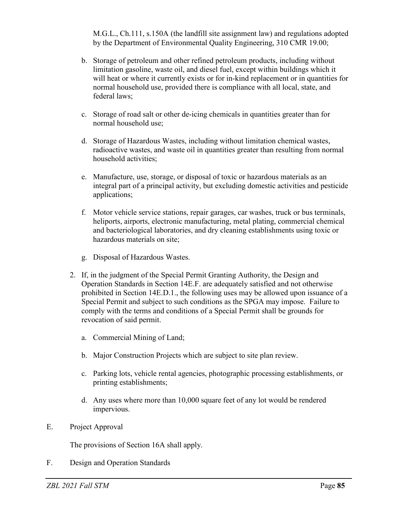M.G.L., Ch.111, s.150A (the landfill site assignment law) and regulations adopted by the Department of Environmental Quality Engineering, 310 CMR 19.00;

- b. Storage of petroleum and other refined petroleum products, including without limitation gasoline, waste oil, and diesel fuel, except within buildings which it will heat or where it currently exists or for in-kind replacement or in quantities for normal household use, provided there is compliance with all local, state, and federal laws;
- c. Storage of road salt or other de-icing chemicals in quantities greater than for normal household use;
- d. Storage of Hazardous Wastes, including without limitation chemical wastes, radioactive wastes, and waste oil in quantities greater than resulting from normal household activities;
- e. Manufacture, use, storage, or disposal of toxic or hazardous materials as an integral part of a principal activity, but excluding domestic activities and pesticide applications;
- f. Motor vehicle service stations, repair garages, car washes, truck or bus terminals, heliports, airports, electronic manufacturing, metal plating, commercial chemical and bacteriological laboratories, and dry cleaning establishments using toxic or hazardous materials on site;
- g. Disposal of Hazardous Wastes.
- 2. If, in the judgment of the Special Permit Granting Authority, the Design and Operation Standards in Section 14E.F. are adequately satisfied and not otherwise prohibited in Section 14E.D.1., the following uses may be allowed upon issuance of a Special Permit and subject to such conditions as the SPGA may impose. Failure to comply with the terms and conditions of a Special Permit shall be grounds for revocation of said permit.
	- a. Commercial Mining of Land;
	- b. Major Construction Projects which are subject to site plan review.
	- c. Parking lots, vehicle rental agencies, photographic processing establishments, or printing establishments;
	- d. Any uses where more than 10,000 square feet of any lot would be rendered impervious.
- E. Project Approval

The provisions of Section 16A shall apply.

F. Design and Operation Standards